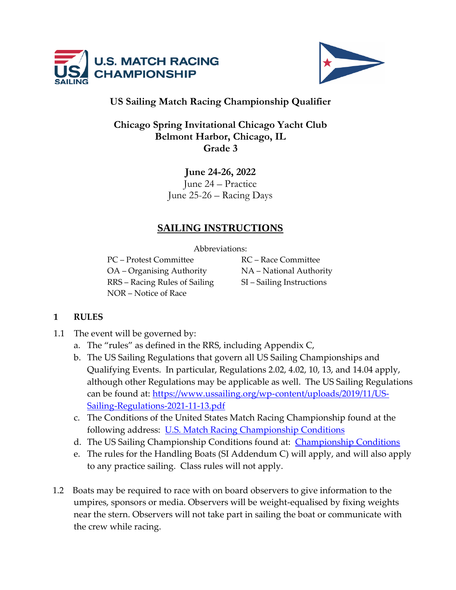



# **US Sailing Match Racing Championship Qualifier**

# **Chicago Spring Invitational Chicago Yacht Club Belmont Harbor, Chicago, IL Grade 3**

# **June 24-26, 2022** June 24 – Practice June 25-26 – Racing Days

# **SAILING INSTRUCTIONS**

Abbreviations:

PC – Protest Committee RC – Race Committee OA – Organising Authority NA – National Authority RRS – Racing Rules of Sailing SI – Sailing Instructions NOR – Notice of Race

# **1 RULES**

- 1.1 The event will be governed by:
	- a. The "rules" as defined in the RRS, including Appendix C,
	- b. The US Sailing Regulations that govern all US Sailing Championships and Qualifying Events. In particular, Regulations 2.02, 4.02, 10, 13, and 14.04 apply, although other Regulations may be applicable as well. The US Sailing Regulations can be found at: [https://www.ussailing.org/wp-content/uploads/2019/11/US-](https://www.ussailing.org/wp-content/uploads/2019/11/US-Sailing-Regulations-2021-11-13.pdf)[Sailing-Regulations-2021-11-13.pdf](https://www.ussailing.org/wp-content/uploads/2019/11/US-Sailing-Regulations-2021-11-13.pdf)
	- c. The Conditions of the United States Match Racing Championship found at the following address: [U.S. Match Racing Championship Conditions](https://cdn.ussailing.org/wp-content/uploads/2019/11/Championship-Conditions-for-the-USMRC-April-2020.pdf)
	- d. The US Sailing [Championship](https://www.ussailing.org/competition/resources/championship-conditions/) Conditions found at: Championship Conditions
	- e. The rules for the Handling Boats (SI Addendum C) will apply, and will also apply to any practice sailing. Class rules will not apply.
- 1.2 Boats may be required to race with on board observers to give information to the umpires, sponsors or media. Observers will be weight-equalised by fixing weights near the stern. Observers will not take part in sailing the boat or communicate with the crew while racing.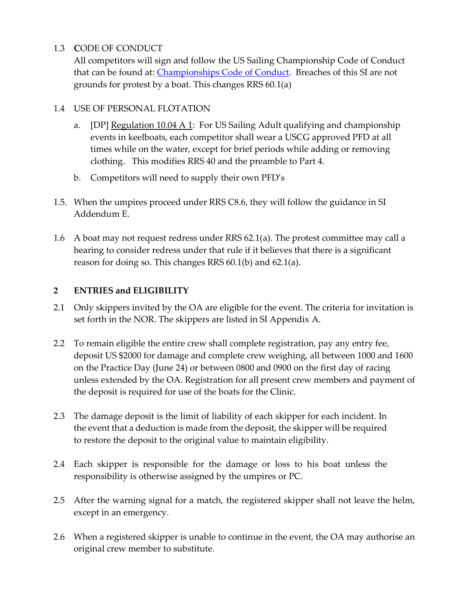#### 1.3 **C**ODE OF CONDUCT

All competitors will sign and follow the US Sailing Championship Code of Conduct that can be found at: [Championships Code of Conduct.](https://www.ussailing.org/resource-library/us-sailing-championships-code-conduct/) Breaches of this SI are not grounds for protest by a boat. This changes RRS 60.1(a)

# 1.4 USE OF PERSONAL FLOTATION

- a. [DP] Regulation  $10.04 \text{ A}$  1: For US Sailing Adult qualifying and championship events in keelboats, each competitor shall wear a USCG approved PFD at all times while on the water, except for brief periods while adding or removing clothing. This modifies RRS 40 and the preamble to Part 4.
- b. Competitors will need to supply their own PFD's
- 1.5. When the umpires proceed under RRS C8.6, they will follow the guidance in SI Addendum E.
- 1.6 A boat may not request redress under RRS 62.1(a). The protest committee may call a hearing to consider redress under that rule if it believes that there is a significant reason for doing so. This changes RRS 60.1(b) and 62.1(a).

# **2 ENTRIES and ELIGIBILITY**

- 2.1 Only skippers invited by the OA are eligible for the event. The criteria for invitation is set forth in the NOR. The skippers are listed in SI Appendix A.
- 2.2 To remain eligible the entire crew shall complete registration, pay any entry fee, deposit US \$2000 for damage and complete crew weighing, all between 1000 and 1600 on the Practice Day (June 24) or between 0800 and 0900 on the first day of racing unless extended by the OA. Registration for all present crew members and payment of the deposit is required for use of the boats for the Clinic.
- 2.3 The damage deposit is the limit of liability of each skipper for each incident. In the event that a deduction is made from the deposit, the skipper will be required to restore the deposit to the original value to maintain eligibility.
- 2.4 Each skipper is responsible for the damage or loss to his boat unless the responsibility is otherwise assigned by the umpires or PC.
- 2.5 After the warning signal for a match, the registered skipper shall not leave the helm, except in an emergency.
- 2.6 When a registered skipper is unable to continue in the event, the OA may authorise an original crew member to substitute.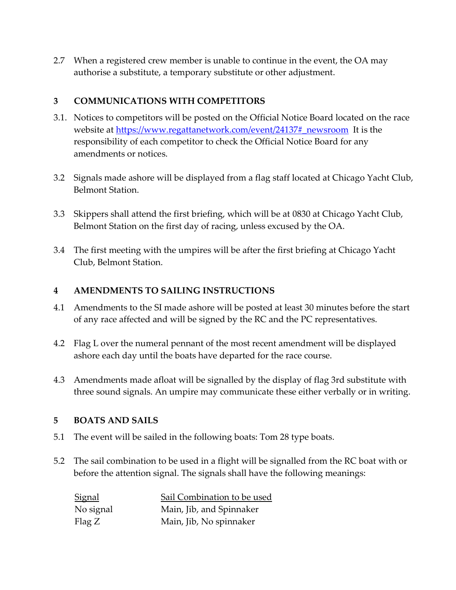2.7 When a registered crew member is unable to continue in the event, the OA may authorise a substitute, a temporary substitute or other adjustment.

#### **3 COMMUNICATIONS WITH COMPETITORS**

- 3.1. Notices to competitors will be posted on the Official Notice Board located on the race website at https://www.regattanetwork.com/event/24137# newsroom It is the responsibility of each competitor to check the Official Notice Board for any amendments or notices.
- 3.2 Signals made ashore will be displayed from a flag staff located at Chicago Yacht Club, Belmont Station.
- 3.3 Skippers shall attend the first briefing, which will be at 0830 at Chicago Yacht Club, Belmont Station on the first day of racing, unless excused by the OA.
- 3.4 The first meeting with the umpires will be after the first briefing at Chicago Yacht Club, Belmont Station.

#### **4 AMENDMENTS TO SAILING INSTRUCTIONS**

- 4.1 Amendments to the SI made ashore will be posted at least 30 minutes before the start of any race affected and will be signed by the RC and the PC representatives.
- 4.2 Flag L over the numeral pennant of the most recent amendment will be displayed ashore each day until the boats have departed for the race course.
- 4.3 Amendments made afloat will be signalled by the display of flag 3rd substitute with three sound signals. An umpire may communicate these either verbally or in writing.

#### **5 BOATS AND SAILS**

- 5.1 The event will be sailed in the following boats: Tom 28 type boats.
- 5.2 The sail combination to be used in a flight will be signalled from the RC boat with or before the attention signal. The signals shall have the following meanings:

| <b>Signal</b> | Sail Combination to be used |
|---------------|-----------------------------|
| No signal     | Main, Jib, and Spinnaker    |
| Flag $Z$      | Main, Jib, No spinnaker     |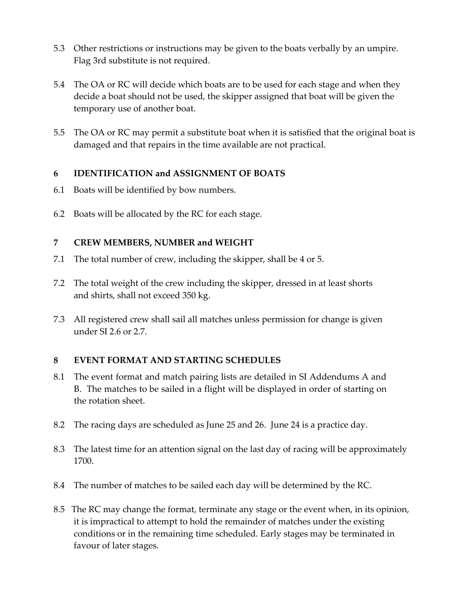- 5.3 Other restrictions or instructions may be given to the boats verbally by an umpire. Flag 3rd substitute is not required.
- 5.4 The OA or RC will decide which boats are to be used for each stage and when they decide a boat should not be used, the skipper assigned that boat will be given the temporary use of another boat.
- 5.5 The OA or RC may permit a substitute boat when it is satisfied that the original boat is damaged and that repairs in the time available are not practical.

#### **6 IDENTIFICATION and ASSIGNMENT OF BOATS**

- 6.1 Boats will be identified by bow numbers.
- 6.2 Boats will be allocated by the RC for each stage.

# **7 CREW MEMBERS, NUMBER and WEIGHT**

- 7.1 The total number of crew, including the skipper, shall be 4 or 5.
- 7.2 The total weight of the crew including the skipper, dressed in at least shorts and shirts, shall not exceed 350 kg.
- 7.3 All registered crew shall sail all matches unless permission for change is given under SI 2.6 or 2.7.

# **8 EVENT FORMAT AND STARTING SCHEDULES**

- 8.1 The event format and match pairing lists are detailed in SI Addendums A and B. The matches to be sailed in a flight will be displayed in order of starting on the rotation sheet.
- 8.2 The racing days are scheduled as June 25 and 26. June 24 is a practice day.
- 8.3 The latest time for an attention signal on the last day of racing will be approximately 1700.
- 8.4 The number of matches to be sailed each day will be determined by the RC.
- 8.5 The RC may change the format, terminate any stage or the event when, in its opinion, it is impractical to attempt to hold the remainder of matches under the existing conditions or in the remaining time scheduled. Early stages may be terminated in favour of later stages.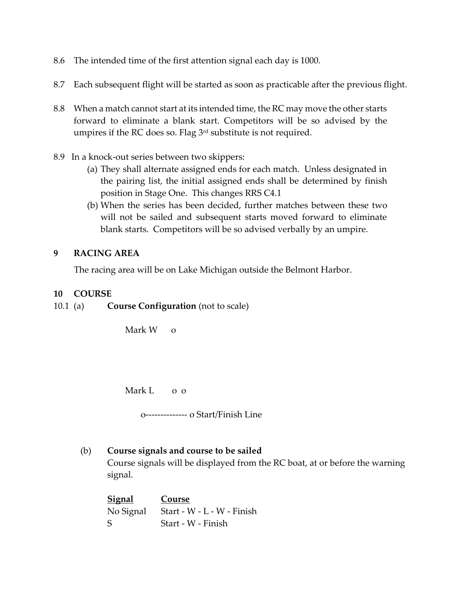- 8.6 The intended time of the first attention signal each day is 1000.
- 8.7 Each subsequent flight will be started as soon as practicable after the previous flight.
- 8.8 When a match cannot start at its intended time, the RC may move the other starts forward to eliminate a blank start. Competitors will be so advised by the umpires if the RC does so. Flag  $3<sup>rd</sup>$  substitute is not required.
- 8.9 In a knock-out series between two skippers:
	- (a) They shall alternate assigned ends for each match. Unless designated in the pairing list, the initial assigned ends shall be determined by finish position in Stage One. This changes RRS C4.1
	- (b) When the series has been decided, further matches between these two will not be sailed and subsequent starts moved forward to eliminate blank starts. Competitors will be so advised verbally by an umpire.

#### **9 RACING AREA**

The racing area will be on Lake Michigan outside the Belmont Harbor.

#### **10 COURSE**

10.1 (a) **Course Configuration** (not to scale)

Mark W o

Mark L o o

o-------------- o Start/Finish Line

# (b) **Course signals and course to be sailed**

Course signals will be displayed from the RC boat, at or before the warning signal.

| <u>Signal</u> | Course                               |
|---------------|--------------------------------------|
|               | No Signal Start - W - L - W - Finish |
| S             | Start - W - Finish                   |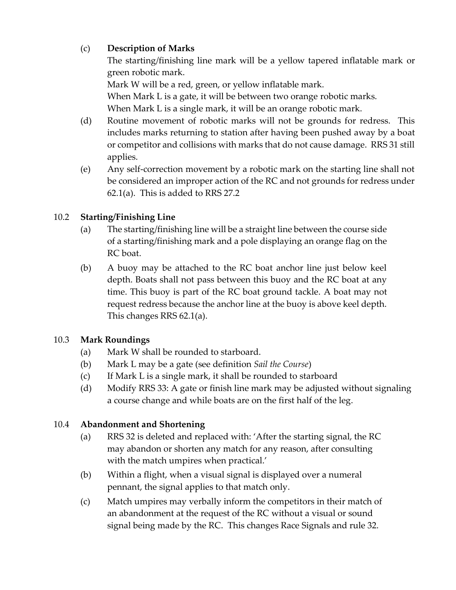## (c) **Description of Marks**

The starting/finishing line mark will be a yellow tapered inflatable mark or green robotic mark.

Mark W will be a red, green, or yellow inflatable mark.

When Mark L is a gate, it will be between two orange robotic marks. When Mark L is a single mark, it will be an orange robotic mark.

- (d) Routine movement of robotic marks will not be grounds for redress. This includes marks returning to station after having been pushed away by a boat or competitor and collisions with marks that do not cause damage. RRS 31 still applies.
- (e) Any self-correction movement by a robotic mark on the starting line shall not be considered an improper action of the RC and not grounds for redress under 62.1(a). This is added to RRS 27.2

# 10.2 **Starting/Finishing Line**

- (a) The starting/finishing line will be a straight line between the course side of a starting/finishing mark and a pole displaying an orange flag on the RC boat.
- (b) A buoy may be attached to the RC boat anchor line just below keel depth. Boats shall not pass between this buoy and the RC boat at any time. This buoy is part of the RC boat ground tackle. A boat may not request redress because the anchor line at the buoy is above keel depth. This changes RRS 62.1(a).

# 10.3 **Mark Roundings**

- (a) Mark W shall be rounded to starboard.
- (b) Mark L may be a gate (see definition *Sail the Course*)
- (c) If Mark L is a single mark, it shall be rounded to starboard
- (d) Modify RRS 33: A gate or finish line mark may be adjusted without signaling a course change and while boats are on the first half of the leg.

# 10.4 **Abandonment and Shortening**

- (a) RRS 32 is deleted and replaced with: 'After the starting signal, the RC may abandon or shorten any match for any reason, after consulting with the match umpires when practical.
- (b) Within a flight, when a visual signal is displayed over a numeral pennant, the signal applies to that match only.
- (c) Match umpires may verbally inform the competitors in their match of an abandonment at the request of the RC without a visual or sound signal being made by the RC. This changes Race Signals and rule 32.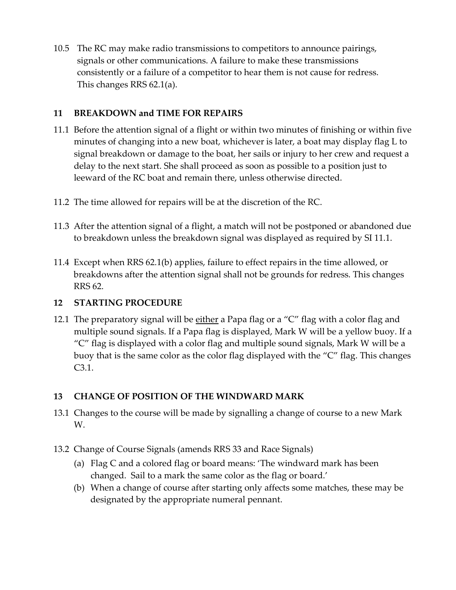10.5 The RC may make radio transmissions to competitors to announce pairings, signals or other communications. A failure to make these transmissions consistently or a failure of a competitor to hear them is not cause for redress. This changes RRS 62.1(a).

#### **11 BREAKDOWN and TIME FOR REPAIRS**

- 11.1 Before the attention signal of a flight or within two minutes of finishing or within five minutes of changing into a new boat, whichever is later, a boat may display flag L to signal breakdown or damage to the boat, her sails or injury to her crew and request a delay to the next start. She shall proceed as soon as possible to a position just to leeward of the RC boat and remain there, unless otherwise directed.
- 11.2 The time allowed for repairs will be at the discretion of the RC.
- 11.3 After the attention signal of a flight, a match will not be postponed or abandoned due to breakdown unless the breakdown signal was displayed as required by SI 11.1.
- 11.4 Except when RRS 62.1(b) applies, failure to effect repairs in the time allowed, or breakdowns after the attention signal shall not be grounds for redress. This changes RRS 62.

#### **12 STARTING PROCEDURE**

12.1 The preparatory signal will be either a Papa flag or a "C" flag with a color flag and multiple sound signals. If a Papa flag is displayed, Mark W will be a yellow buoy. If a "C" flag is displayed with a color flag and multiple sound signals, Mark W will be a buoy that is the same color as the color flag displayed with the "C" flag. This changes C3.1.

# **13 CHANGE OF POSITION OF THE WINDWARD MARK**

- 13.1 Changes to the course will be made by signalling a change of course to a new Mark W.
- 13.2 Change of Course Signals (amends RRS 33 and Race Signals)
	- (a) Flag C and a colored flag or board means: 'The windward mark has been changed. Sail to a mark the same color as the flag or board.'
	- (b) When a change of course after starting only affects some matches, these may be designated by the appropriate numeral pennant.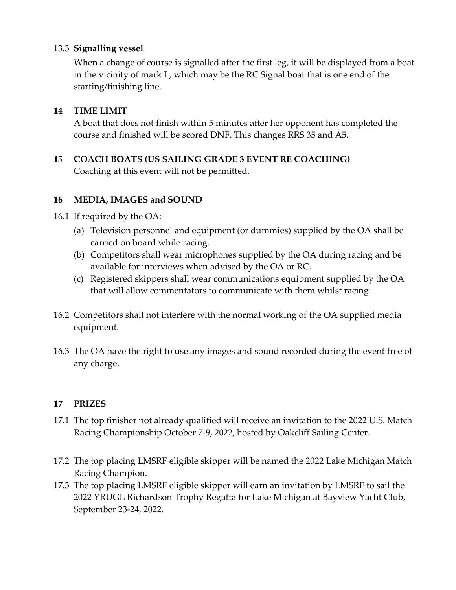#### 13.3 **Signalling vessel**

When a change of course is signalled after the first leg, it will be displayed from a boat in the vicinity of mark L, which may be the RC Signal boat that is one end of the starting/finishing line.

#### **14 TIME LIMIT**

A boat that does not finish within 5 minutes after her opponent has completed the course and finished will be scored DNF. This changes RRS 35 and A5.

# **15 COACH BOATS (US SAILING GRADE 3 EVENT RE COACHING)**

Coaching at this event will not be permitted.

#### **16 MEDIA, IMAGES and SOUND**

- 16.1 If required by the OA:
	- (a) Television personnel and equipment (or dummies) supplied by the OA shall be carried on board while racing.
	- (b) Competitors shall wear microphones supplied by the OA during racing and be available for interviews when advised by the OA or RC.
	- (c) Registered skippers shall wear communications equipment supplied by the OA that will allow commentators to communicate with them whilst racing.
- 16.2 Competitors shall not interfere with the normal working of the OA supplied media equipment.
- 16.3 The OA have the right to use any images and sound recorded during the event free of any charge.

# **17 PRIZES**

- 17.1 The top finisher not already qualified will receive an invitation to the 2022 U.S. Match Racing Championship October 7-9, 2022, hosted by Oakcliff Sailing Center.
- 17.2 The top placing LMSRF eligible skipper will be named the 2022 Lake Michigan Match Racing Champion.
- 17.3 The top placing LMSRF eligible skipper will earn an invitation by LMSRF to sail the 2022 YRUGL Richardson Trophy Regatta for Lake Michigan at Bayview Yacht Club, September 23-24, 2022.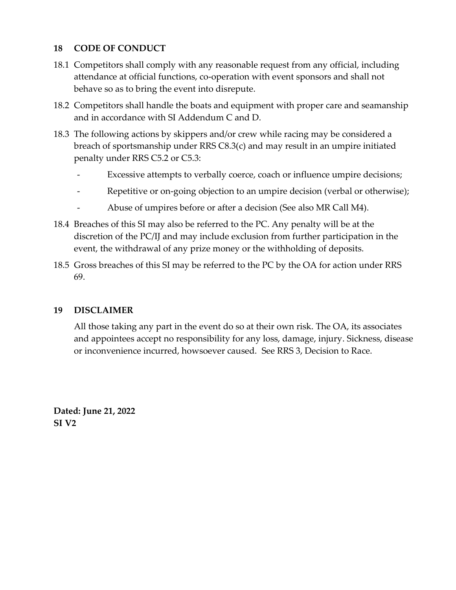#### **18 CODE OF CONDUCT**

- 18.1 Competitors shall comply with any reasonable request from any official, including attendance at official functions, co-operation with event sponsors and shall not behave so as to bring the event into disrepute.
- 18.2 Competitors shall handle the boats and equipment with proper care and seamanship and in accordance with SI Addendum C and D.
- 18.3 The following actions by skippers and/or crew while racing may be considered a breach of sportsmanship under RRS C8.3(c) and may result in an umpire initiated penalty under RRS C5.2 or C5.3:
	- Excessive attempts to verbally coerce, coach or influence umpire decisions;
	- Repetitive or on-going objection to an umpire decision (verbal or otherwise);
	- Abuse of umpires before or after a decision (See also MR Call M4).
- 18.4 Breaches of this SI may also be referred to the PC. Any penalty will be at the discretion of the PC/IJ and may include exclusion from further participation in the event, the withdrawal of any prize money or the withholding of deposits.
- 18.5 Gross breaches of this SI may be referred to the PC by the OA for action under RRS 69.

#### **19 DISCLAIMER**

All those taking any part in the event do so at their own risk. The OA, its associates and appointees accept no responsibility for any loss, damage, injury. Sickness, disease or inconvenience incurred, howsoever caused. See RRS 3, Decision to Race.

**Dated: June 21, 2022 SI V2**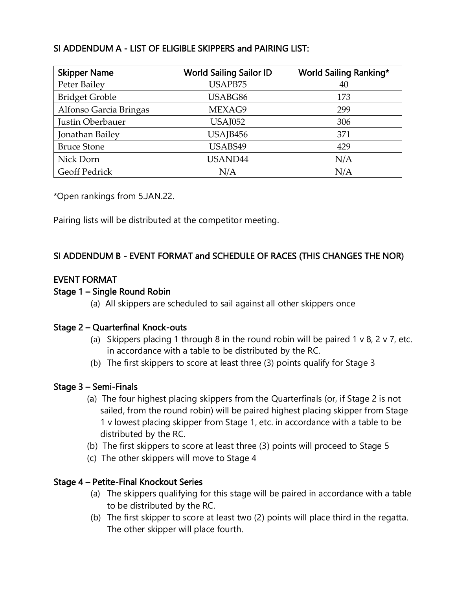# SI ADDENDUM A - LIST OF ELIGIBLE SKIPPERS and PAIRING LIST:

| <b>Skipper Name</b>    | <b>World Sailing Sailor ID</b> | World Sailing Ranking* |
|------------------------|--------------------------------|------------------------|
| Peter Bailey           | USAPB75                        | 40                     |
| <b>Bridget Groble</b>  | USABG86                        | 173                    |
| Alfonso Garcia Bringas | MEXAG9                         | 299                    |
| Justin Oberbauer       | <b>USAJ052</b>                 | 306                    |
| Jonathan Bailey        | USAJB456                       | 371                    |
| <b>Bruce Stone</b>     | USABS49                        | 429                    |
| Nick Dorn              | USAND44                        | N/A                    |
| <b>Geoff Pedrick</b>   | N/A                            | N/A                    |

\*Open rankings from 5.JAN.22.

Pairing lists will be distributed at the competitor meeting.

# SI ADDENDUM B - EVENT FORMAT and SCHEDULE OF RACES (THIS CHANGES THE NOR)

# EVENT FORMAT

#### Stage 1 – Single Round Robin

(a) All skippers are scheduled to sail against all other skippers once

#### Stage 2 – Quarterfinal Knock-outs

- (a) Skippers placing 1 through 8 in the round robin will be paired 1  $\vee$  8, 2  $\vee$  7, etc. in accordance with a table to be distributed by the RC.
- (b) The first skippers to score at least three (3) points qualify for Stage 3

#### Stage 3 – Semi-Finals

- (a) The four highest placing skippers from the Quarterfinals (or, if Stage 2 is not sailed, from the round robin) will be paired highest placing skipper from Stage 1 v lowest placing skipper from Stage 1, etc. in accordance with a table to be distributed by the RC.
- (b) The first skippers to score at least three (3) points will proceed to Stage 5
- (c) The other skippers will move to Stage 4

#### Stage 4 – Petite-Final Knockout Series

- (a) The skippers qualifying for this stage will be paired in accordance with a table to be distributed by the RC.
- (b) The first skipper to score at least two (2) points will place third in the regatta. The other skipper will place fourth.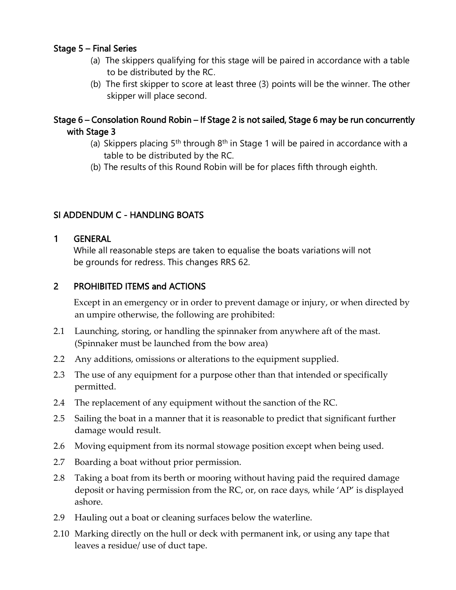# Stage 5 – Final Series

- (a) The skippers qualifying for this stage will be paired in accordance with a table to be distributed by the RC.
- (b) The first skipper to score at least three (3) points will be the winner. The other skipper will place second.

# Stage 6 – Consolation Round Robin – If Stage 2 is not sailed, Stage 6 may be run concurrently with Stage 3

- (a) Skippers placing  $5<sup>th</sup>$  through  $8<sup>th</sup>$  in Stage 1 will be paired in accordance with a table to be distributed by the RC.
- (b) The results of this Round Robin will be for places fifth through eighth.

# SI ADDENDUM C - HANDLING BOATS

#### 1 GENERAL

While all reasonable steps are taken to equalise the boats variations will not be grounds for redress. This changes RRS 62.

#### 2 PROHIBITED ITEMS and ACTIONS

Except in an emergency or in order to prevent damage or injury, or when directed by an umpire otherwise, the following are prohibited:

- 2.1 Launching, storing, or handling the spinnaker from anywhere aft of the mast. (Spinnaker must be launched from the bow area)
- 2.2 Any additions, omissions or alterations to the equipment supplied.
- 2.3 The use of any equipment for a purpose other than that intended or specifically permitted.
- 2.4 The replacement of any equipment without the sanction of the RC.
- 2.5 Sailing the boat in a manner that it is reasonable to predict that significant further damage would result.
- 2.6 Moving equipment from its normal stowage position except when being used.
- 2.7 Boarding a boat without prior permission.
- 2.8 Taking a boat from its berth or mooring without having paid the required damage deposit or having permission from the RC, or, on race days, while 'AP' is displayed ashore.
- 2.9 Hauling out a boat or cleaning surfaces below the waterline.
- 2.10 Marking directly on the hull or deck with permanent ink, or using any tape that leaves a residue/ use of duct tape.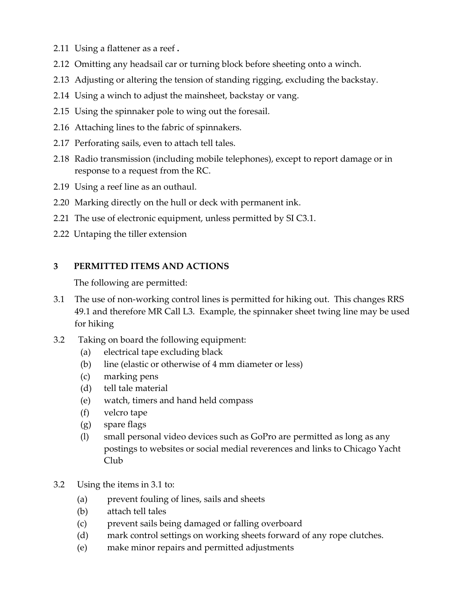- 2.11 Using a flattener as a reef **.**
- 2.12 Omitting any headsail car or turning block before sheeting onto a winch.
- 2.13 Adjusting or altering the tension of standing rigging, excluding the backstay.
- 2.14 Using a winch to adjust the mainsheet, backstay or vang.
- 2.15 Using the spinnaker pole to wing out the foresail.
- 2.16 Attaching lines to the fabric of spinnakers.
- 2.17 Perforating sails, even to attach tell tales.
- 2.18 Radio transmission (including mobile telephones), except to report damage or in response to a request from the RC.
- 2.19 Using a reef line as an outhaul.
- 2.20 Marking directly on the hull or deck with permanent ink.
- 2.21 The use of electronic equipment, unless permitted by SI C3.1.
- 2.22 Untaping the tiller extension

#### **3 PERMITTED ITEMS AND ACTIONS**

The following are permitted:

- 3.1 The use of non-working control lines is permitted for hiking out. This changes RRS 49.1 and therefore MR Call L3. Example, the spinnaker sheet twing line may be used for hiking
- 3.2 Taking on board the following equipment:
	- (a) electrical tape excluding black
	- (b) line (elastic or otherwise of 4 mm diameter or less)
	- (c) marking pens
	- (d) tell tale material
	- (e) watch, timers and hand held compass
	- (f) velcro tape
	- (g) spare flags
	- (l) small personal video devices such as GoPro are permitted as long as any postings to websites or social medial reverences and links to Chicago Yacht Club
- 3.2 Using the items in 3.1 to:
	- (a) prevent fouling of lines, sails and sheets
	- (b) attach tell tales
	- (c) prevent sails being damaged or falling overboard
	- (d) mark control settings on working sheets forward of any rope clutches.
	- (e) make minor repairs and permitted adjustments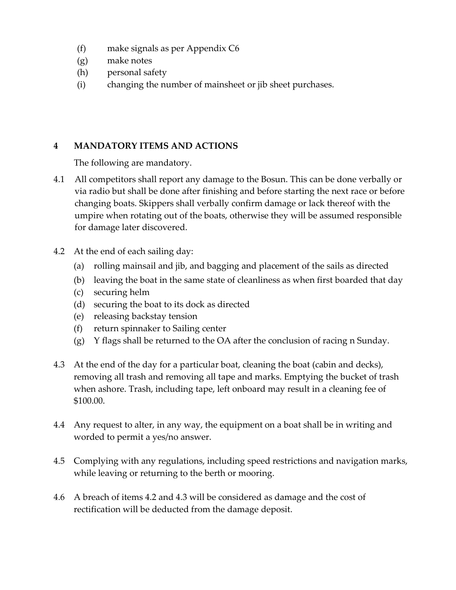- (f) make signals as per Appendix C6
- (g) make notes
- (h) personal safety
- (i) changing the number of mainsheet or jib sheet purchases.

# **4 MANDATORY ITEMS AND ACTIONS**

The following are mandatory.

- 4.1 All competitors shall report any damage to the Bosun. This can be done verbally or via radio but shall be done after finishing and before starting the next race or before changing boats. Skippers shall verbally confirm damage or lack thereof with the umpire when rotating out of the boats, otherwise they will be assumed responsible for damage later discovered.
- 4.2 At the end of each sailing day:
	- (a) rolling mainsail and jib, and bagging and placement of the sails as directed
	- (b) leaving the boat in the same state of cleanliness as when first boarded that day
	- (c) securing helm
	- (d) securing the boat to its dock as directed
	- (e) releasing backstay tension
	- (f) return spinnaker to Sailing center
	- (g) Y flags shall be returned to the OA after the conclusion of racing n Sunday.
- 4.3 At the end of the day for a particular boat, cleaning the boat (cabin and decks), removing all trash and removing all tape and marks. Emptying the bucket of trash when ashore. Trash, including tape, left onboard may result in a cleaning fee of \$100.00.
- 4.4 Any request to alter, in any way, the equipment on a boat shall be in writing and worded to permit a yes/no answer.
- 4.5 Complying with any regulations, including speed restrictions and navigation marks, while leaving or returning to the berth or mooring.
- 4.6 A breach of items 4.2 and 4.3 will be considered as damage and the cost of rectification will be deducted from the damage deposit.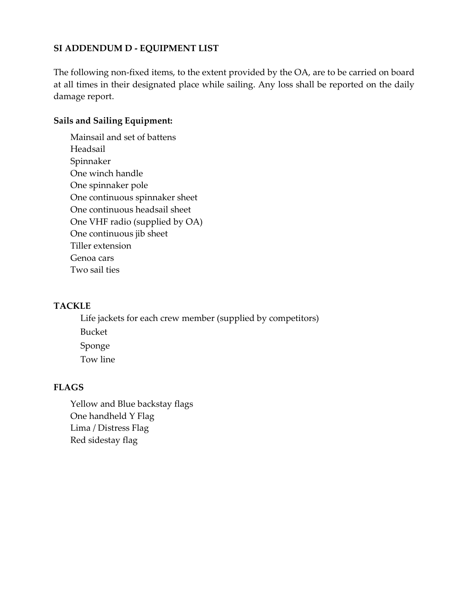#### **SI ADDENDUM D - EQUIPMENT LIST**

The following non-fixed items, to the extent provided by the OA, are to be carried on board at all times in their designated place while sailing. Any loss shall be reported on the daily damage report.

#### **Sails and Sailing Equipment:**

Mainsail and set of battens Headsail Spinnaker One winch handle One spinnaker pole One continuous spinnaker sheet One continuous headsail sheet One VHF radio (supplied by OA) One continuous jib sheet Tiller extension Genoa cars Two sail ties

#### **TACKLE**

Life jackets for each crew member (supplied by competitors) Bucket Sponge Tow line

#### **FLAGS**

Yellow and Blue backstay flags One handheld Y Flag Lima / Distress Flag Red sidestay flag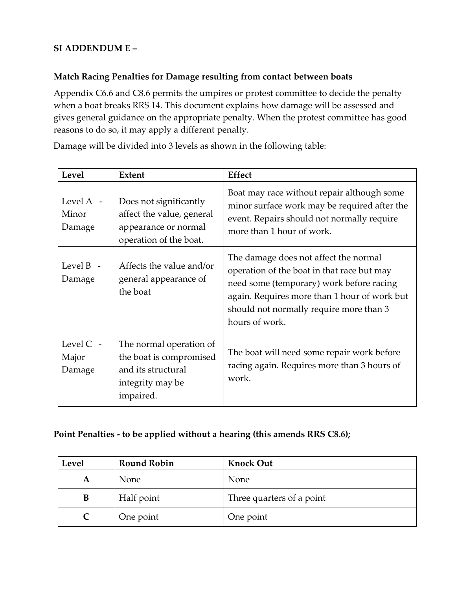## **SI ADDENDUM E –**

#### **Match Racing Penalties for Damage resulting from contact between boats**

Appendix C6.6 and C8.6 permits the umpires or protest committee to decide the penalty when a boat breaks RRS 14. This document explains how damage will be assessed and gives general guidance on the appropriate penalty. When the protest committee has good reasons to do so, it may apply a different penalty.

| Level                        | Extent                                                                                                    | <b>Effect</b>                                                                                                                                                                                                                                |
|------------------------------|-----------------------------------------------------------------------------------------------------------|----------------------------------------------------------------------------------------------------------------------------------------------------------------------------------------------------------------------------------------------|
| Level A -<br>Minor<br>Damage | Does not significantly<br>affect the value, general<br>appearance or normal<br>operation of the boat.     | Boat may race without repair although some<br>minor surface work may be required after the<br>event. Repairs should not normally require<br>more than 1 hour of work.                                                                        |
| Level B -<br>Damage          | Affects the value and/or<br>general appearance of<br>the boat                                             | The damage does not affect the normal<br>operation of the boat in that race but may<br>need some (temporary) work before racing<br>again. Requires more than 1 hour of work but<br>should not normally require more than 3<br>hours of work. |
| Level C -<br>Major<br>Damage | The normal operation of<br>the boat is compromised<br>and its structural<br>integrity may be<br>impaired. | The boat will need some repair work before<br>racing again. Requires more than 3 hours of<br>work.                                                                                                                                           |

Damage will be divided into 3 levels as shown in the following table:

#### **Point Penalties - to be applied without a hearing (this amends RRS C8.6);**

| Level | <b>Round Robin</b> | <b>Knock Out</b>          |
|-------|--------------------|---------------------------|
| A     | None               | None                      |
| B     | Half point         | Three quarters of a point |
| C     | One point          | One point                 |